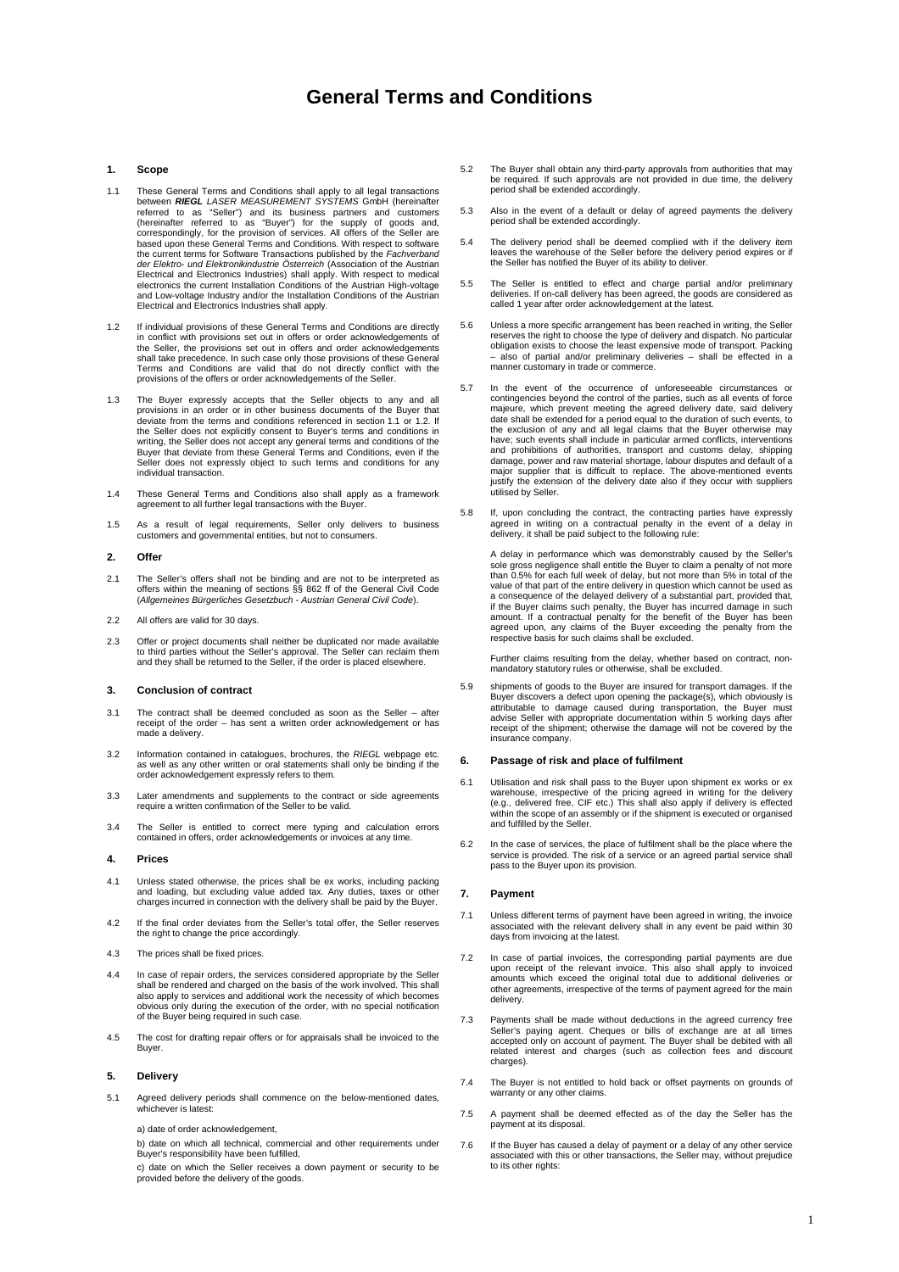# **General Terms and Conditions**

### **1. Scope**

- $1.1$ 1.1 These General Terms and Conditions shall apply to all legal transactions<br>between **RIEGL** LASER MEASUREMENT SYSTEMS GmbH (hereinafter<br>referred to as "Seller") and its business partners and customers<br>(hereinafter referre based upon these General Terms and Conditions. With respect to software the current terms for Software Transactions published by the Fachverband<br>der Elektro- und Elektronikindustrie Österreich (Association of the Austrian Electrical and Electronics Industries) shall apply. With respect to medical electronics the current Installation Conditions of the Austrian High-voltage and Low-voltage Industry and/or the Installation Conditions of the Austrian Electrical and Electronics Industries shall apply.
- $12$ If individual provisions of these General Terms and Conditions are directly in conflict with provisions set out in offers or order acknowledgements of the Seller, the provisions set out in offers and order acknowledgements shall take precedence. In such case only those provisions of these General Terms and Conditions are valid that do not directly conflict with the provisions of the offers or order acknowledgements of the Seller.
- 1.3 The Buyer expressly accepts that the Seller objects to any and all provisions in an order or in other business documents of the Buyer that deviate from the terms and conditions referenced in section 1.1 or 1.2. If the Seller does not explicitly consent to Buyer's terms and conditions in<br>writing, the Seller does not accept any general terms and conditions of the<br>Buyer that deviate from these General Terms and Conditions, even if the<br> individual transaction.
- 1.4 These General Terms and Conditions also shall apply as a framework agreement to all further legal transactions with the Buyer.
- 1.5 As a result of legal requirements, Seller only delivers to business customers and governmental entities, but not to consumers.

### **2. Offer**

- 2.1 The Seller's offers shall not be binding and are not to be interpreted as offers within the meaning of sections §§ 862 ff of the General Civil Code<br>(Allgemeines Bürgerliches Gesetzbuch Austrian General Civil Code).
- 2.2 All offers are valid for 30 days.
- $2.3$ 2.3 Offer or project documents shall neither be duplicated nor made available to third parties without the Seller's approval. The Seller can reclaim them and they shall be returned to the Seller, if the order is placed elsewhere.

### **3. Conclusion of contract**

- $3.1$ The contract shall be deemed concluded as soon as the Seller  $-$  after receipt of the order – has sent a written order acknowledgement or has receipt or the of<br>made a delivery.
- $3.2$ Information contained in catalogues, brochures, the RIEGL webpage etc. as well as any other written or oral statements shall only be binding if the order acknowledgement expressly refers to them.
- 3.3 Later amendments and supplements to the contract or side agreements require a written confirmation of the Seller to be valid.
- $3.4$ The Seller is entitled to correct mere typing and calculation errors contained in offers, order acknowledgements or invoices at any time.

### **4. Prices**

- $4.1$ Unless stated otherwise, the prices shall be ex works, including packing and loading, but excluding value added tax. Any duties, taxes or other charges incurred in connection with the delivery shall be paid by the Buyer.
- 4.2 If the final order deviates from the Seller's total offer, the Seller reserves the right to change the price accordingly.
- $4.3$ The prices shall be fixed prices.
- $4.4$ In case of repair orders, the services considered appropriate by the Seller shall be rendered and charged on the basis of the work involved. This shall<br>also apply to services and additional work the necessity of which becomes<br>obvious only during the execution of the order, with no special notifica of the Buyer being required in such case.
- $45$ The cost for drafting repair offers or for appraisals shall be invoiced to the Buyer.

#### **5. Delivery**

- $51$ Agreed delivery periods shall commence on the below-mentioned dates, whichever is latest:
	- a) date of order acknowledgement.

 b) date on which all technical, commercial and other requirements under Buyer's responsibility have been fulfilled,

 c) date on which the Seller receives a down payment or security to be provided before the delivery of the goods.

- 5.2 The Buyer shall obtain any third-party approvals from authorities that may be required. If such approvals are not provided in due time, the delivery period shall be extended accordingly.
- 5.3 Also in the event of a default or delay of agreed payments the delivery period shall be extended accordingly.
- $54$ The delivery period shall be deemed complied with if the delivery item leaves the warehouse of the Seller before the delivery period expires or if the Seller has notified the Buyer of its ability to deliver.
- 5.5 The Seller is entitled to effect and charge partial and/or preliminary deliveries. If on-call delivery has been agreed, the goods are considered as called 1 year after order acknowledgement at the latest.
- $5.6$ 5.6 Unless a more specific arrangement has been reached in writing, the Seller reserves the right to choose the type of delivery and dispatch. No particular obligation exists to choose the least expensive mode of transport. Packing – also of partial and/or preliminary deliveries – shall be effected in a manner customary in trade or commerce.
- 5.7 In the event of the occurrence of unforeseeable circumstances or contingencies beyond the control of the parties, such as all events of force majeure, which prevent meeting the agreed delivery date, said delivery<br>date shall be extended for a period equal to the duration of such events, to<br>the exclusion of any and all legal claims that the Buyer otherwise may<br>hav damage, power and raw material shortage, labour disputes and default of a major supplier that is difficult to replace. The above-mentioned events justify the extension of the delivery date also if they occur with suppliers utilised by Seller.
- $5.8$ 5.8 If, upon concluding the contract, the contracting parties have expressly agreed in writing on a contractual penalty in the event of a delay in delivery, it shall be paid subject to the following rule:

A delay in performance which was demonstrably caused by the Seller's sole gross negligence shall entitle the Buyer to claim a penalty of not more than 0.5% for each full week of delay, but not more than 5% in total of the value of that part of the entire delivery in question which cannot be used as a consequence of the delayed delivery of a substantial part, provided that, if the Buyer claims such penalty, the Buyer has incurred damage in such amount. If a contractual penalty for the benefit of the Buyer has been agreed upon, any claims of the Buyer exceeding the penalty from the respective basis for such claims shall be excluded.

 Further claims resulting from the delay, whether based on contract, nonmandatory statutory rules or otherwise, shall be excluded.

 $5.9$ shipments of goods to the Buyer are insured for transport damages. If the Buyer discovers a defect upon opening the package(s), which obviously is attributable to damage caused during transportation, the Buyer must advise Seller with appropriate documentation within 5 working days after receipt of the shipment; otherwise the damage will not be covered by the insurance company.

### **6. Passage of risk and place of fulfilment**

- 6.1 Utilisation and risk shall pass to the Buyer upon shipment ex works or ex<br>warehouse, irrespective of the pricing agreed in writing for the delivery<br>(e.g., delivered free, CIF etc.) This shall also apply if delivery is within the scope of an assembly or if the shipment is executed or organised<br>and fulfilled by the Seller.
- 6.2 In the case of services, the place of fulfilment shall be the place where the service is provided. The risk of a service or an agreed partial service shall pass to the Buyer upon its provision.

#### **7. Payment**

- $7.1$ 7.1 Unless different terms of payment have been agreed in writing, the invoice associated with the relevant delivery shall in any event be paid within 30 days from invoicing at the latest.
- 7.2 In case of partial invoices, the corresponding partial payments are due upon receipt of the relevant invoice. This also shall apply to invoiced<br>amounts which exceed the original total due to additional deliveries or<br>other agreements, irrespective of the terms of payment agreed for the main delivery
- $73$ Payments shall be made without deductions in the agreed currency free Seller's paying agent. Cheques or bills of exchange are at all times accepted only on account of payment. The Buyer shall be debited with all related interest and charges (such as collection fees and discount charges).
- 7.4 The Buyer is not entitled to hold back or offset payments on grounds of warranty or any other claims
- $75$ 7.5 A payment shall be deemed effected as of the day the Seller has the payment at its disposal.
- $7.6$ If the Buyer has caused a delay of payment or a delay of any other service associated with this or other transactions, the Seller may, without prejudice to its other rights: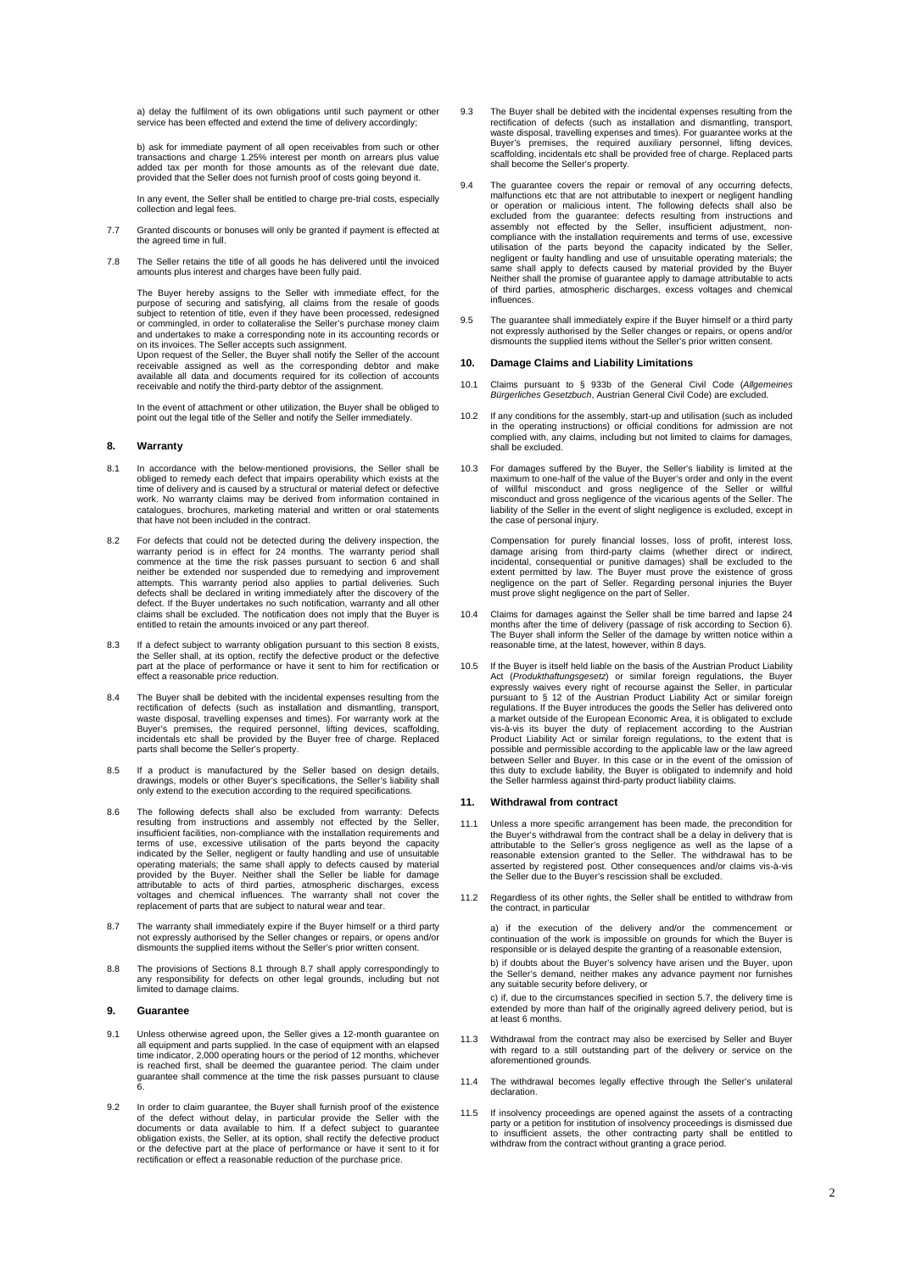a) delay the fulfilment of its own obligations until such payment or other service has been effected and extend the time of delivery accordingly;

 b) ask for immediate payment of all open receivables from such or other transactions and charge 1.25% interest per month on arrears plus value added tax per month for those amounts as of the relevant due date, provided that the Seller does not furnish proof of costs going beyond it.

 In any event, the Seller shall be entitled to charge pre-trial costs, especially collection and legal fees.

- $77$ 7.7 Granted discounts or bonuses will only be granted if payment is effected at the agreed time in full.
- **78** 7.8 The Seller retains the title of all goods he has delivered until the invoiced amounts plus interest and charges have been fully paid.

The Buyer hereby assigns to the Seller with immediate effect, for the purpose of securing and satisfying, all claims from the resale of goods subject to retention of title, even if they have been processed, redesigned or commingled, in order to collateralise the Seller's purchase money claim and undertakes to make a corresponding note in its accounting records or on its invoices. The Seller accepts such assignment. Upon request of the Seller, the Buyer shall notify the Seller of the account

receivable assigned as well as the corresponding debtor and make available all data and documents required for its collection of accounts receivable and notify the third-party debtor of the assignment.

In the event of attachment or other utilization, the Buyer shall be obliged to point out the legal title of the Seller and notify the Seller immediately.

### **8. Warranty**

- $\overline{R}$  1 In accordance with the below-mentioned provisions, the Seller shall be obliged to remedy each defect that impairs operability which exists at the time of delivery and is caused by a structural or material defect or defective work. No warranty claims may be derived from information contained in catalogues, brochures, marketing material and written or oral statements that have not been included in the contract.
- 82 8.2 For defects that could not be detected during the delivery inspection, the warranty period is in effect for 24 months. The warranty period shall commence at the time the risk passes pursuant to section 6 and shall neit defects shall be declared in writing immediately after the discovery of the defect. If the Buyer undertakes no such notification, warranty and all other claims shall be excluded. The notification does not imply that the Buyer is entitled to retain the amounts invoiced or any part thereof.
- $8.3$ If a defect subject to warranty obligation pursuant to this section 8 exists, the Seller shall, at its option, rectify the defective product or the defective part at the place of performance or have it sent to him for rectification or .<br>effect a reasonable price reduction.
- 8.4 The Buyer shall be debited with the incidental expenses resulting from the rectification of defects (such as installation and dismantling, transport, waste disposal, travelling expenses and times). For warranty work at the Buyer's premises, the required personnel, lifting devices, scaffolding, incidentals etc shall be provided by the Buyer free of charge. Replaced parts shall become the Seller's property.
- $85$ 8.5 If a product is manufactured by the Seller based on design details, drawings, models or other Buyer's specifications, the Seller's liability shall only extend to the execution according to the required specifications.
- 8.6 The following defects shall also be excluded from warranty: Defects resulting from instructions and assembly not effected by the Seller, insufficient facilities, non-compliance with the installation requirements and terms of use, excessive utilisation of the parts beyond the capacity indicated by the Seller, negligent or faulty handling and use of unsuitable<br>operating materials; the same shall apply to defects caused by material<br>provided by the Buyer. Neither shall the Seller be liable for damage<br>attri voltages and chemical influences. The warranty shall not cover the replacement of parts that are subject to natural wear and tear.
- 8.7 The warranty shall immediately expire if the Buyer himself or a third party not expressly authorised by the Seller changes or repairs, or opens and/or dismounts the supplied items without the Seller's prior written consent.
- 8.8 8.8 The provisions of Sections 8.1 through 8.7 shall apply correspondingly to any responsibility for defects on other legal grounds, including but not limited to damage claims.

### **9. Guarantee**

- Unless otherwise agreed upon, the Seller gives a 12-month guarantee on all equipment and parts supplied. In the case of equipment with an elapsed time indicator, 2,000 operating hours or the period of 12 months, whichever is reached first, shall be deemed the guarantee period. The claim under guarantee shall commence at the time the risk passes pursuant to clause 6.
- 92 In order to claim guarantee, the Buyer shall furnish proof of the existence of the defect without delay, in particular provide the Seller with the documents or data available to him. If a defect subject to guarantee obligation exists, the Seller, at its option, shall rectify the defective product or the defective part at the place of performance or have it sent to it for rectification or effect a reasonable reduction of the purchase price.
- 9.3 The Buyer shall be debited with the incidental expenses resulting from the rectification of defects (such as installation and dismantling, transport,<br>waste disposal, travelling expenses and times). For guarantee works at the<br>Buyer's premises, the required auxiliary personnel, lifting devices,<br>sca shall become the Seller's property.
- 9.4 The guarantee covers the repair or removal of any occurring defects, malfunctions etc that are not attributable to inexpert or negligent handling or operation or malicious intent. The following defects shall also be excluded from the guarantee: defects resulting from instructions and assembly not effected by the Seller, insufficient adjustment, noncompliance with the installation requirements and terms of use, excessive utilisation of the parts beyond the capacity indicated by the Seller, negligent or faulty handling and use of unsuitable operating materials; the same shall apply to defects caused by material provided by the Buyer Neither shall the promise of guarantee apply to damage attributable to acts of third parties, atmospheric discharges, excess voltages and chemical influences.
- 9.5 9.5 The guarantee shall immediately expire if the Buyer himself or a third party<br>not expressly authorised by the Seller changes or repairs, or opens and/or<br>dismounts the supplied items without the Seller's prior written co

#### **10. Damage Claims and Liability Limitations**

- $10.1$ 10.1 Claims pursuant to § 933b of the General Civil Code (Allgemeines Bürgerliches Gesetzbuch, Austrian General Civil Code) are excluded.
- $10.2$ If any conditions for the assembly, start-up and utilisation (such as included in the operating instructions) or official conditions for admission are not complied with, any claims, including but not limited to claims for damages, shall be excluded.
- 10.3 For damages suffered by the Buyer, the Seller's liability is limited at the maximum to one-half of the value of the Buyer's order and only in the event of willful misconduct and gross negligence of the Seller or willful<br>misconductand.gross.negligence.of.the.vicarious.agents.of.the.Seller.The<br>liability.of.the.Seller.in.the.event.of.slight.negligence.is.excluded,.except.in the case of personal injury.

Compensation for purely financial losses, loss of profit, interest loss, damage arising from third-party claims (whether direct or indirect, incidental, consequential or punitive damages) shall be excluded to the extent pe must prove slight negligence on the part of Seller.

- $10A$ 10.4 Claims for damages against the Seller shall be time barred and lapse 24 months after the time of delivery (passage of risk according to Section 6). The Buyer shall inform the Seller of the damage by written notice within a reasonable time, at the latest, however, within 8 days.
- If the Buyer is itself held liable on the basis of the Austrian Product Liability Act (Produkthaftungsgesetz) or similar foreign regulations, the Buyer<br>expressly waives every right of recourse against the Seller, in particular pursuant to § 12 of the Austrian Product Liability Act or similar foreign regulations. If the Buyer introduces the goods the Seller has delivered onto a market outside of the European Economic Area, it is obligated to exclude vis-à-vis its buyer the duty of replacement according to the Austrian Product Liability Act or similar foreign regulations, to the extent that is possible and permissible according to the applicable law or the law agreed between Seller and Buyer. In this case or in the event of the omission of this duty to exclude liability, the Buyer is obligated to indemnify and hold the Seller harmless against third-party product liability claims.

### **11. Withdrawal from contract**

- 11.1 Unless a more specific arrangement has been made, the precondition for the Buyer's withdrawal from the contract shall be a delay in delivery that is<br>attributable to the Seller's gross negligence as well as the lapse of a<br>reasonable extension granted to the Seller. The withdrawal has to be<br>ass the Seller due to the Buyer's rescission shall be excluded.
- $11.2$ Regardless of its other rights, the Seller shall be entitled to withdraw from the contract, in particular

 a) if the execution of the delivery and/or the commencement or continuation of the work is impossible on grounds for which the Buyer is responsible or is delayed despite the granting of a reasonable extension, b) if doubts about the Buyer's solvency have arisen und the Buyer, upon the Seller's demand, neither makes any advance payment nor furnishes any suitable security before delivery, or

 c) if, due to the circumstances specified in section 5.7, the delivery time is extended by more than half of the originally agreed delivery period, but is at least 6 months.

- $113$ Withdrawal from the contract may also be exercised by Seller and Buyer with regard to a still outstanding part of the delivery or service on the aforementioned grounds.
- $11.4$ The withdrawal becomes legally effective through the Seller's unilateral declaration.
- 11.5 If insolvency proceedings are opened against the assets of a contracting party or a petition for institution of insolvency proceedings is dismissed due to insufficient assets, the other contracting party shall be entitled to withdraw from the contract without granting a grace period.